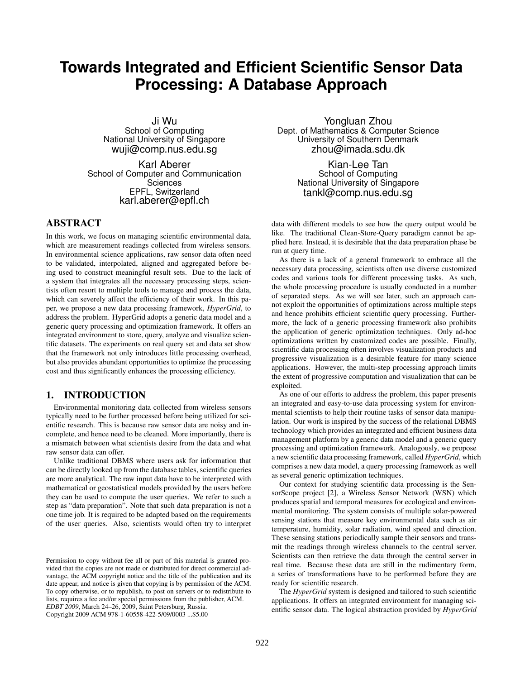# **Towards Integrated and Efficient Scientific Sensor Data Processing: A Database Approach**

Ji Wu School of Computing National University of Singapore wuji@comp.nus.edu.sg

Karl Aberer School of Computer and Communication **Sciences** EPFL, Switzerland karl.aberer@epfl.ch

# ABSTRACT

In this work, we focus on managing scientific environmental data, which are measurement readings collected from wireless sensors. In environmental science applications, raw sensor data often need to be validated, interpolated, aligned and aggregated before being used to construct meaningful result sets. Due to the lack of a system that integrates all the necessary processing steps, scientists often resort to multiple tools to manage and process the data, which can severely affect the efficiency of their work. In this paper, we propose a new data processing framework, *HyperGrid*, to address the problem. HyperGrid adopts a generic data model and a generic query processing and optimization framework. It offers an integrated environment to store, query, analyze and visualize scientific datasets. The experiments on real query set and data set show that the framework not only introduces little processing overhead, but also provides abundant opportunities to optimize the processing cost and thus significantly enhances the processing efficiency.

# 1. INTRODUCTION

Environmental monitoring data collected from wireless sensors typically need to be further processed before being utilized for scientific research. This is because raw sensor data are noisy and incomplete, and hence need to be cleaned. More importantly, there is a mismatch between what scientists desire from the data and what raw sensor data can offer.

Unlike traditional DBMS where users ask for information that can be directly looked up from the database tables, scientific queries are more analytical. The raw input data have to be interpreted with mathematical or geostatistical models provided by the users before they can be used to compute the user queries. We refer to such a step as "data preparation". Note that such data preparation is not a one time job. It is required to be adapted based on the requirements of the user queries. Also, scientists would often try to interpret

Yongluan Zhou Dept. of Mathematics & Computer Science University of Southern Denmark zhou@imada.sdu.dk

> Kian-Lee Tan School of Computing National University of Singapore tankl@comp.nus.edu.sg

data with different models to see how the query output would be like. The traditional Clean-Store-Query paradigm cannot be applied here. Instead, it is desirable that the data preparation phase be run at query time.

As there is a lack of a general framework to embrace all the necessary data processing, scientists often use diverse customized codes and various tools for different processing tasks. As such, the whole processing procedure is usually conducted in a number of separated steps. As we will see later, such an approach cannot exploit the opportunities of optimizations across multiple steps and hence prohibits efficient scientific query processing. Furthermore, the lack of a generic processing framework also prohibits the application of generic optimization techniques. Only ad-hoc optimizations written by customized codes are possible. Finally, scientific data processing often involves visualization products and progressive visualization is a desirable feature for many science applications. However, the multi-step processing approach limits the extent of progressive computation and visualization that can be exploited.

As one of our efforts to address the problem, this paper presents an integrated and easy-to-use data processing system for environmental scientists to help their routine tasks of sensor data manipulation. Our work is inspired by the success of the relational DBMS technology which provides an integrated and efficient business data management platform by a generic data model and a generic query processing and optimization framework. Analogously, we propose a new scientific data processing framework, called *HyperGrid*, which comprises a new data model, a query processing framework as well as several generic optimization techniques.

Our context for studying scientific data processing is the SensorScope project [2], a Wireless Sensor Network (WSN) which produces spatial and temporal measures for ecological and environmental monitoring. The system consists of multiple solar-powered sensing stations that measure key environmental data such as air temperature, humidity, solar radiation, wind speed and direction. These sensing stations periodically sample their sensors and transmit the readings through wireless channels to the central server. Scientists can then retrieve the data through the central server in real time. Because these data are still in the rudimentary form, a series of transformations have to be performed before they are ready for scientific research.

The *HyperGrid* system is designed and tailored to such scientific applications. It offers an integrated environment for managing scientific sensor data. The logical abstraction provided by *HyperGrid*

Permission to copy without fee all or part of this material is granted provided that the copies are not made or distributed for direct commercial advantage, the ACM copyright notice and the title of the publication and its date appear, and notice is given that copying is by permission of the ACM. To copy otherwise, or to republish, to post on servers or to redistribute to lists, requires a fee and/or special permissions from the publisher, ACM. *EDBT 2009*, March 24–26, 2009, Saint Petersburg, Russia. Copyright 2009 ACM 978-1-60558-422-5/09/0003 ...\$5.00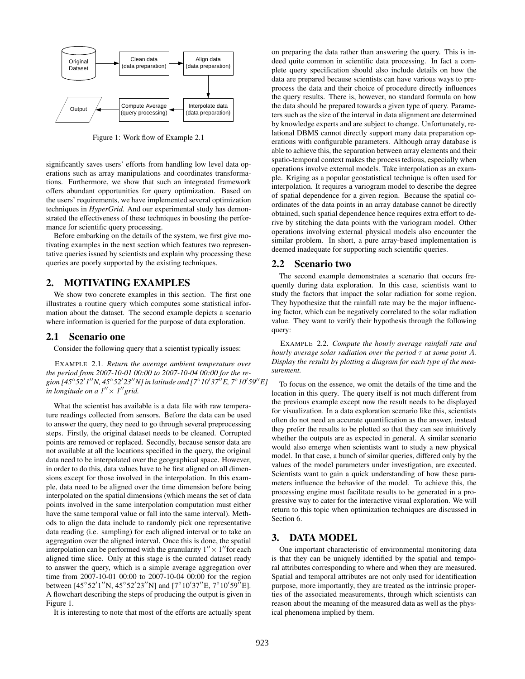

Figure 1: Work flow of Example 2.1

significantly saves users' efforts from handling low level data operations such as array manipulations and coordinates transformations. Furthermore, we show that such an integrated framework offers abundant opportunities for query optimization. Based on the users' requirements, we have implemented several optimization techniques in *HyperGrid*. And our experimental study has demonstrated the effectiveness of these techniques in boosting the performance for scientific query processing.

Before embarking on the details of the system, we first give motivating examples in the next section which features two representative queries issued by scientists and explain why processing these queries are poorly supported by the existing techniques.

# 2. MOTIVATING EXAMPLES

We show two concrete examples in this section. The first one illustrates a routine query which computes some statistical information about the dataset. The second example depicts a scenario where information is queried for the purpose of data exploration.

## 2.1 Scenario one

Consider the following query that a scientist typically issues:

EXAMPLE 2.1. *Return the average ambient temperature over the period from 2007-10-01 00:00 to 2007-10-04 00:00 for the region [45*° 52' 1'' N, 45° 52' 23'' N] in latitude and [7° 10' 37'' E, 7° 10' 59'' E] *in longitude on a 1"*  $\times$  *1" grid.* 

What the scientist has available is a data file with raw temperature readings collected from sensors. Before the data can be used to answer the query, they need to go through several preprocessing steps. Firstly, the original dataset needs to be cleaned. Corrupted points are removed or replaced. Secondly, because sensor data are not available at all the locations specified in the query, the original data need to be interpolated over the geographical space. However, in order to do this, data values have to be first aligned on all dimensions except for those involved in the interpolation. In this example, data need to be aligned over the time dimension before being interpolated on the spatial dimensions (which means the set of data points involved in the same interpolation computation must either have the same temporal value or fall into the same interval). Methods to align the data include to randomly pick one representative data reading (i.e. sampling) for each aligned interval or to take an aggregation over the aligned interval. Once this is done, the spatial interpolation can be performed with the granularity  $1'' \times 1''$  for each aligned time slice. Only at this stage is the curated dataset ready to answer the query, which is a simple average aggregation over time from 2007-10-01 00:00 to 2007-10-04 00:00 for the region between [45°52'1″N, 45°52'23″N] and [7°10'37″E, 7°10'59″E]. A flowchart describing the steps of producing the output is given in Figure 1.

It is interesting to note that most of the efforts are actually spent

on preparing the data rather than answering the query. This is indeed quite common in scientific data processing. In fact a complete query specification should also include details on how the data are prepared because scientists can have various ways to preprocess the data and their choice of procedure directly influences the query results. There is, however, no standard formula on how the data should be prepared towards a given type of query. Parameters such as the size of the interval in data alignment are determined by knowledge experts and are subject to change. Unfortunately, relational DBMS cannot directly support many data preparation operations with configurable parameters. Although array database is able to achieve this, the separation between array elements and their spatio-temporal context makes the process tedious, especially when operations involve external models. Take interpolation as an example. Kriging as a popular geostatistical technique is often used for interpolation. It requires a variogram model to describe the degree of spatial dependence for a given region. Because the spatial coordinates of the data points in an array database cannot be directly obtained, such spatial dependence hence requires extra effort to derive by stitching the data points with the variogram model. Other operations involving external physical models also encounter the similar problem. In short, a pure array-based implementation is deemed inadequate for supporting such scientific queries.

### 2.2 Scenario two

The second example demonstrates a scenario that occurs frequently during data exploration. In this case, scientists want to study the factors that impact the solar radiation for some region. They hypothesize that the rainfall rate may be the major influencing factor, which can be negatively correlated to the solar radiation value. They want to verify their hypothesis through the following query:

EXAMPLE 2.2. *Compute the hourly average rainfall rate and hourly average solar radiation over the period*  $\tau$  *at some point A. Display the results by plotting a diagram for each type of the measurement.*

To focus on the essence, we omit the details of the time and the location in this query. The query itself is not much different from the previous example except now the result needs to be displayed for visualization. In a data exploration scenario like this, scientists often do not need an accurate quantification as the answer, instead they prefer the results to be plotted so that they can see intuitively whether the outputs are as expected in general. A similar scenario would also emerge when scientists want to study a new physical model. In that case, a bunch of similar queries, differed only by the values of the model parameters under investigation, are executed. Scientists want to gain a quick understanding of how these parameters influence the behavior of the model. To achieve this, the processing engine must facilitate results to be generated in a progressive way to cater for the interactive visual exploration. We will return to this topic when optimization techniques are discussed in Section 6.

## 3. DATA MODEL

One important characteristic of environmental monitoring data is that they can be uniquely identified by the spatial and temporal attributes corresponding to where and when they are measured. Spatial and temporal attributes are not only used for identification purpose, more importantly, they are treated as the intrinsic properties of the associated measurements, through which scientists can reason about the meaning of the measured data as well as the physical phenomena implied by them.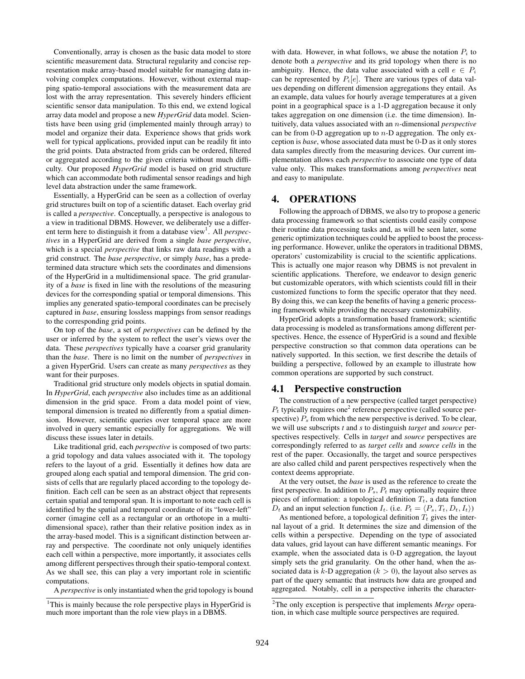Conventionally, array is chosen as the basic data model to store scientific measurement data. Structural regularity and concise representation make array-based model suitable for managing data involving complex computations. However, without external mapping spatio-temporal associations with the measurement data are lost with the array representation. This severely hinders efficient scientific sensor data manipulation. To this end, we extend logical array data model and propose a new *HyperGrid* data model. Scientists have been using grid (implemented mainly through array) to model and organize their data. Experience shows that grids work well for typical applications, provided input can be readily fit into the grid points. Data abstracted from grids can be ordered, filtered or aggregated according to the given criteria without much difficulty. Our proposed *HyperGrid* model is based on grid structure which can accommodate both rudimental sensor readings and high level data abstraction under the same framework.

Essentially, a HyperGrid can be seen as a collection of overlay grid structures built on top of a scientific dataset. Each overlay grid is called a *perspective*. Conceptually, a perspective is analogous to a view in traditional DBMS. However, we deliberately use a different term here to distinguish it from a database view<sup>1</sup>. All *perspectives* in a HyperGrid are derived from a single *base perspective*, which is a special *perspective* that links raw data readings with a grid construct. The *base perspective*, or simply *base*, has a predetermined data structure which sets the coordinates and dimensions of the HyperGrid in a multidimensional space. The grid granularity of a *base* is fixed in line with the resolutions of the measuring devices for the corresponding spatial or temporal dimensions. This implies any generated spatio-temporal coordinates can be precisely captured in *base*, ensuring lossless mappings from sensor readings to the corresponding grid points.

On top of the *base*, a set of *perspectives* can be defined by the user or inferred by the system to reflect the user's views over the data. These *perspectives* typically have a coarser grid granularity than the *base*. There is no limit on the number of *perspectives* in a given HyperGrid. Users can create as many *perspectives* as they want for their purposes.

Traditional grid structure only models objects in spatial domain. In *HyperGrid*, each *perspective* also includes time as an additional dimension in the grid space. From a data model point of view, temporal dimension is treated no differently from a spatial dimension. However, scientific queries over temporal space are more involved in query semantic especially for aggregations. We will discuss these issues later in details.

Like traditional grid, each *perspective* is composed of two parts: a grid topology and data values associated with it. The topology refers to the layout of a grid. Essentially it defines how data are grouped along each spatial and temporal dimension. The grid consists of cells that are regularly placed according to the topology definition. Each cell can be seen as an abstract object that represents certain spatial and temporal span. It is important to note each cell is identified by the spatial and temporal coordinate of its "lower-left" corner (imagine cell as a rectangular or an orthotope in a multidimensional space), rather than their relative position index as in the array-based model. This is a significant distinction between array and perspective. The coordinate not only uniquely identifies each cell within a perspective, more importantly, it associates cells among different perspectives through their spatio-temporal context. As we shall see, this can play a very important role in scientific computations.

A *perspective* is only instantiated when the grid topology is bound

with data. However, in what follows, we abuse the notation  $P_i$  to denote both a *perspective* and its grid topology when there is no ambiguity. Hence, the data value associated with a cell  $e \in P_i$ can be represented by  $P_i[e]$ . There are various types of data values depending on different dimension aggregations they entail. As an example, data values for hourly average temperatures at a given point in a geographical space is a 1-D aggregation because it only takes aggregation on one dimension (i.e. the time dimension). Intuitively, data values associated with an n-dimensional *perspective* can be from 0-D aggregation up to  $n$ -D aggregation. The only exception is *base*, whose associated data must be 0-D as it only stores data samples directly from the measuring devices. Our current implementation allows each *perspective* to associate one type of data value only. This makes transformations among *perspectives* neat and easy to manipulate.

#### 4. OPERATIONS

Following the approach of DBMS, we also try to propose a generic data processing framework so that scientists could easily compose their routine data processing tasks and, as will be seen later, some generic optimization techniques could be applied to boost the processing performance. However, unlike the operators in traditional DBMS, operators' customizability is crucial to the scientific applications. This is actually one major reason why DBMS is not prevalent in scientific applications. Therefore, we endeavor to design generic but customizable operators, with which scientists could fill in their customized functions to form the specific operator that they need. By doing this, we can keep the benefits of having a generic processing framework while providing the necessary customizability.

HyperGrid adopts a transformation based framework; scientific data processing is modeled as transformations among different perspectives. Hence, the essence of HyperGrid is a sound and flexible perspective construction so that common data operations can be natively supported. In this section, we first describe the details of building a perspective, followed by an example to illustrate how common operations are supported by such construct.

#### 4.1 Perspective construction

The construction of a new perspective (called target perspective)  $P_t$  typically requires one<sup>2</sup> reference perspective (called source perspective)  $P_s$  from which the new perspective is derived. To be clear, we will use subscripts *t* and *s* to distinguish *target* and *source* perspectives respectively. Cells in *target* and *source* perspectives are correspondingly referred to as *target cells* and *source cells* in the rest of the paper. Occasionally, the target and source perspectives are also called child and parent perspectives respectively when the context deems appropriate.

At the very outset, the *base* is used as the reference to create the first perspective. In addition to  $P_s$ ,  $P_t$  may optionally require three pieces of information: a topological definition  $T_t$ , a data function  $D_t$  and an input selection function  $I_t$ . (i.e.  $P_t = \langle P_s, T_t, D_t, I_t \rangle$ )

As mentioned before, a topological definition  $T_t$  gives the internal layout of a grid. It determines the size and dimension of the cells within a perspective. Depending on the type of associated data values, grid layout can have different semantic meanings. For example, when the associated data is 0-D aggregation, the layout simply sets the grid granularity. On the other hand, when the associated data is  $k$ -D aggregation ( $k > 0$ ), the layout also serves as part of the query semantic that instructs how data are grouped and aggregated. Notably, cell in a perspective inherits the character-

<sup>&</sup>lt;sup>1</sup>This is mainly because the role perspective plays in HyperGrid is much more important than the role view plays in a DBMS.

<sup>2</sup>The only exception is perspective that implements *Merge* operation, in which case multiple source perspectives are required.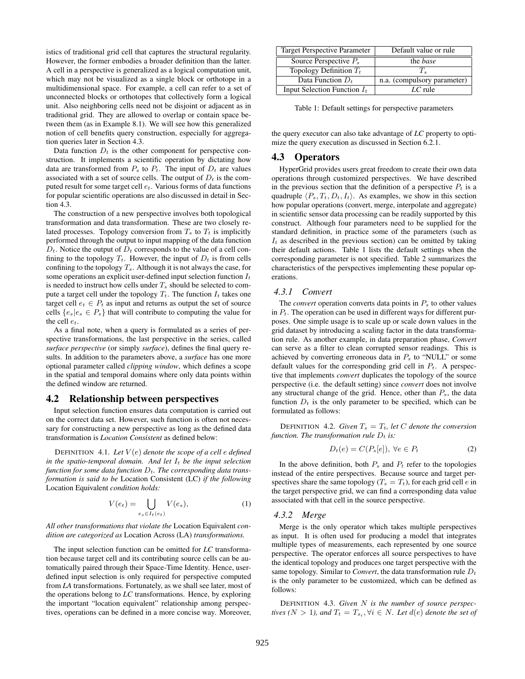istics of traditional grid cell that captures the structural regularity. However, the former embodies a broader definition than the latter. A cell in a perspective is generalized as a logical computation unit, which may not be visualized as a single block or orthotope in a multidimensional space. For example, a cell can refer to a set of unconnected blocks or orthotopes that collectively form a logical unit. Also neighboring cells need not be disjoint or adjacent as in traditional grid. They are allowed to overlap or contain space between them (as in Example 8.1). We will see how this generalized notion of cell benefits query construction, especially for aggregation queries later in Section 4.3.

Data function  $D_t$  is the other component for perspective construction. It implements a scientific operation by dictating how data are transformed from  $P_s$  to  $P_t$ . The input of  $D_t$  are values associated with a set of source cells. The output of  $D_t$  is the computed result for some target cell  $e_t$ . Various forms of data functions for popular scientific operations are also discussed in detail in Section 4.3.

The construction of a new perspective involves both topological transformation and data transformation. These are two closely related processes. Topology conversion from  $T_s$  to  $T_t$  is implicitly performed through the output to input mapping of the data function  $D_t$ . Notice the output of  $D_t$  corresponds to the value of a cell confining to the topology  $T_t$ . However, the input of  $D_t$  is from cells confining to the topology  $T_s$ . Although it is not always the case, for some operations an explicit user-defined input selection function  $I_t$ is needed to instruct how cells under  $T_s$  should be selected to compute a target cell under the topology  $T_t$ . The function  $I_t$  takes one target cell  $e_t \in P_t$  as input and returns as output the set of source cells  ${e_s | e_s \in P_s}$  that will contribute to computing the value for the cell  $e_t$ .

As a final note, when a query is formulated as a series of perspective transformations, the last perspective in the series, called *surface perspective* (or simply *surface*), defines the final query results. In addition to the parameters above, a *surface* has one more optional parameter called *clipping window*, which defines a scope in the spatial and temporal domains where only data points within the defined window are returned.

#### 4.2 Relationship between perspectives

Input selection function ensures data computation is carried out on the correct data set. However, such function is often not necessary for constructing a new perspective as long as the defined data transformation is *Location Consistent* as defined below:

DEFINITION 4.1. *Let* V (e) *denote the scope of a cell* e *defined in the spatio-temporal domain. And let*  $I_t$  *be the input selection* function for some data function  $D_t$ . The corresponding data trans*formation is said to be* Location Consistent (LC) *if the following* Location Equivalent *condition holds:*

$$
V(e_t) = \bigcup_{e_s \in I_t(e_t)} V(e_s), \tag{1}
$$

*All other transformations that violate the* Location Equivalent *condition are categorized as* Location Across (LA) *transformations.*

The input selection function can be omitted for *LC* transformation because target cell and its contributing source cells can be automatically paired through their Space-Time Identity. Hence, userdefined input selection is only required for perspective computed from *LA* transformations. Fortunately, as we shall see later, most of the operations belong to *LC* transformations. Hence, by exploring the important "location equivalent" relationship among perspectives, operations can be defined in a more concise way. Moreover,

| <b>Target Perspective Parameter</b> | Default value or rule       |
|-------------------------------------|-----------------------------|
| Source Perspective $P_s$            | the <i>base</i>             |
| Topology Definition $T_t$           | $T_{s}$                     |
| Data Function $D_t$                 | n.a. (compulsory parameter) |
| Input Selection Function $I_t$      | $LC$ rule                   |

Table 1: Default settings for perspective parameters

the query executor can also take advantage of *LC* property to optimize the query execution as discussed in Section 6.2.1.

#### 4.3 Operators

HyperGrid provides users great freedom to create their own data operations through customized perspectives. We have described in the previous section that the definition of a perspective  $P_t$  is a quadruple  $\langle P_s, T_t, D_t, I_t \rangle$ . As examples, we show in this section how popular operations (convert, merge, interpolate and aggregate) in scientific sensor data processing can be readily supported by this construct. Although four parameters need to be supplied for the standard definition, in practice some of the parameters (such as  $I_t$  as described in the previous section) can be omitted by taking their default actions. Table 1 lists the default settings when the corresponding parameter is not specified. Table 2 summarizes the characteristics of the perspectives implementing these popular operations.

#### *4.3.1 Convert*

The *convert* operation converts data points in  $P_s$  to other values in  $P_t$ . The operation can be used in different ways for different purposes. One simple usage is to scale up or scale down values in the grid dataset by introducing a scaling factor in the data transformation rule. As another example, in data preparation phase, *Convert* can serve as a filter to clean corrupted sensor readings. This is achieved by converting erroneous data in  $P<sub>s</sub>$  to "NULL" or some default values for the corresponding grid cell in  $P_t$ . A perspective that implements *convert* duplicates the topology of the source perspective (i.e. the default setting) since *convert* does not involve any structural change of the grid. Hence, other than  $P_s$ , the data function  $D_t$  is the only parameter to be specified, which can be formulated as follows:

DEFINITION 4.2. *Given*  $T_s = T_t$ *, let C denote the conversion function. The transformation rule*  $D_t$  *is:* 

$$
D_t(e) = C(P_s[e]), \ \forall e \in P_t
$$
 (2)

In the above definition, both  $P_s$  and  $P_t$  refer to the topologies instead of the entire perspectives. Because source and target perspectives share the same topology ( $T_s = T_t$ ), for each grid cell e in the target perspective grid, we can find a corresponding data value associated with that cell in the source perspective.

#### *4.3.2 Merge*

Merge is the only operator which takes multiple perspectives as input. It is often used for producing a model that integrates multiple types of measurements, each represented by one source perspective. The operator enforces all source perspectives to have the identical topology and produces one target perspective with the same topology. Similar to *Convert*, the data transformation rule  $D_t$ is the only parameter to be customized, which can be defined as follows:

DEFINITION 4.3. *Given* N *is the number of source perspectives* ( $N > 1$ ), and  $T_t = T_{s_i}$ ,  $\forall i \in N$ . Let  $d(e)$  denote the set of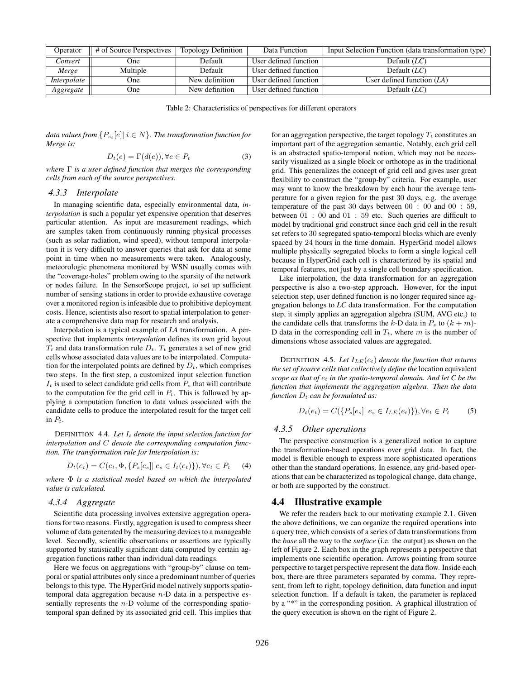| Operator    | # of Source Perspectives | Topology Definition | Data Function         | Input Selection Function (data transformation type) |
|-------------|--------------------------|---------------------|-----------------------|-----------------------------------------------------|
| Convert     | One                      | Default             | User defined function | Default $(LC)$                                      |
| Merge       | Multiple                 | Default             | User defined function | Default $(LC)$                                      |
| Interpolate | One                      | New definition      | User defined function | User defined function $(LA)$                        |
| Aggregate   | One                      | New definition      | User defined function | Default $(LC)$                                      |

Table 2: Characteristics of perspectives for different operators

data values from  $\{P_{s_i}[e]|\ i\in N\}.$  The transformation function for *Merge is:*

$$
D_t(e) = \Gamma(d(e)), \forall e \in P_t \tag{3}
$$

*where* Γ *is a user defined function that merges the corresponding cells from each of the source perspectives.*

#### *4.3.3 Interpolate*

In managing scientific data, especially environmental data, *interpolation* is such a popular yet expensive operation that deserves particular attention. As input are measurement readings, which are samples taken from continuously running physical processes (such as solar radiation, wind speed), without temporal interpolation it is very difficult to answer queries that ask for data at some point in time when no measurements were taken. Analogously, meteorologic phenomena monitored by WSN usually comes with the "coverage-holes" problem owing to the sparsity of the network or nodes failure. In the SensorScope project, to set up sufficient number of sensing stations in order to provide exhaustive coverage over a monitored region is infeasible due to prohibitive deployment costs. Hence, scientists also resort to spatial interpolation to generate a comprehensive data map for research and analysis.

Interpolation is a typical example of *LA* transformation. A perspective that implements *interpolation* defines its own grid layout  $T_t$  and data transformation rule  $D_t$ .  $T_t$  generates a set of new grid cells whose associated data values are to be interpolated. Computation for the interpolated points are defined by  $D_t$ , which comprises two steps. In the first step, a customized input selection function  $I_t$  is used to select candidate grid cells from  $P_s$  that will contribute to the computation for the grid cell in  $P_t$ . This is followed by applying a computation function to data values associated with the candidate cells to produce the interpolated result for the target cell in  $P_t$ .

DEFINITION 4.4. Let  $I_t$  denote the input selection function for *interpolation and* C *denote the corresponding computation function. The transformation rule for Interpolation is:*

$$
D_t(e_t) = C(e_t, \Phi, \{P_s[e_s] | e_s \in I_t(e_t)\}), \forall e_t \in P_t \tag{4}
$$

*where* Φ *is a statistical model based on which the interpolated value is calculated.*

#### *4.3.4 Aggregate*

Scientific data processing involves extensive aggregation operations for two reasons. Firstly, aggregation is used to compress sheer volume of data generated by the measuring devices to a manageable level. Secondly, scientific observations or assertions are typically supported by statistically significant data computed by certain aggregation functions rather than individual data readings.

Here we focus on aggregations with "group-by" clause on temporal or spatial attributes only since a predominant number of queries belongs to this type. The HyperGrid model natively supports spatiotemporal data aggregation because  $n-D$  data in a perspective essentially represents the  $n-D$  volume of the corresponding spatiotemporal span defined by its associated grid cell. This implies that

for an aggregation perspective, the target topology  $T_t$  constitutes an important part of the aggregation semantic. Notably, each grid cell is an abstracted spatio-temporal notion, which may not be necessarily visualized as a single block or orthotope as in the traditional grid. This generalizes the concept of grid cell and gives user great flexibility to construct the "group-by" criteria. For example, user may want to know the breakdown by each hour the average temperature for a given region for the past 30 days, e.g. the average temperature of the past 30 days between 00 : 00 and 00 : 59, between 01 : 00 and 01 : 59 etc. Such queries are difficult to model by traditional grid construct since each grid cell in the result set refers to 30 segregated spatio-temporal blocks which are evenly spaced by 24 hours in the time domain. HyperGrid model allows multiple physically segregated blocks to form a single logical cell because in HyperGrid each cell is characterized by its spatial and temporal features, not just by a single cell boundary specification.

Like interpolation, the data transformation for an aggregation perspective is also a two-step approach. However, for the input selection step, user defined function is no longer required since aggregation belongs to *LC* data transformation. For the computation step, it simply applies an aggregation algebra (SUM, AVG etc.) to the candidate cells that transforms the k-D data in  $P_s$  to  $(k + m)$ -D data in the corresponding cell in  $T_t$ , where m is the number of dimensions whose associated values are aggregated.

DEFINITION 4.5. Let  $I_{LE}(e_t)$  denote the function that returns *the set of source cells that collectively define the* location equivalent *scope as that of*  $e_t$  *in the spatio-temporal domain. And let C be the function that implements the aggregation algebra. Then the data function*  $D_t$  *can be formulated as:* 

$$
D_t(e_t) = C(\{P_s[e_s] | e_s \in I_{LE}(e_t)\}), \forall e_t \in P_t \tag{5}
$$

#### *4.3.5 Other operations*

The perspective construction is a generalized notion to capture the transformation-based operations over grid data. In fact, the model is flexible enough to express more sophisticated operations other than the standard operations. In essence, any grid-based operations that can be characterized as topological change, data change, or both are supported by the construct.

#### 4.4 Illustrative example

We refer the readers back to our motivating example 2.1. Given the above definitions, we can organize the required operations into a query tree, which consists of a series of data transformations from the *base* all the way to the *surface* (i.e. the output) as shown on the left of Figure 2. Each box in the graph represents a perspective that implements one scientific operation. Arrows pointing from source perspective to target perspective represent the data flow. Inside each box, there are three parameters separated by comma. They represent, from left to right, topology definition, data function and input selection function. If a default is taken, the parameter is replaced by a "\*" in the corresponding position. A graphical illustration of the query execution is shown on the right of Figure 2.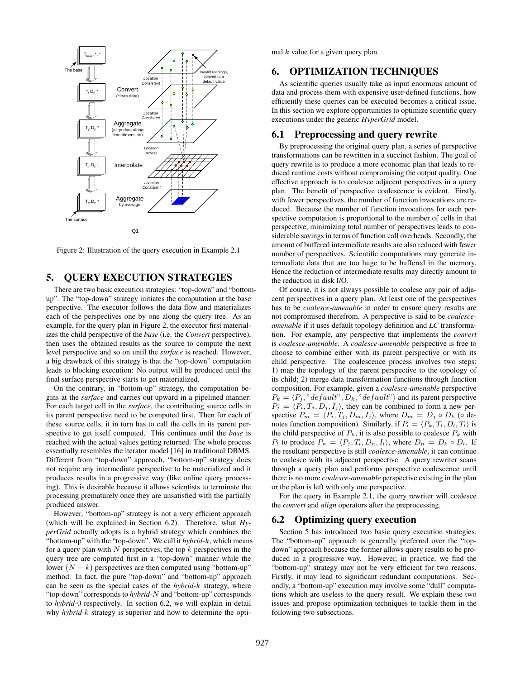

Figure 2: Illustration of the query execution in Example 2.1

# 5. QUERY EXECUTION STRATEGIES

There are two basic execution strategies: "top-down" and "bottomup". The "top-down" strategy initiates the computation at the base perspective. The executor follows the data flow and materializes each of the perspectives one by one along the query tree. As an example, for the query plan in Figure 2, the executor first materializes the child perspective of the *base* (i.e. the *Convert* perspective), then uses the obtained results as the source to compute the next level perspective and so on until the *surface* is reached. However, a big drawback of this strategy is that the "top-down" computation leads to blocking execution: No output will be produced until the final surface perspective starts to get materialized.

On the contrary, in "bottom-up" strategy, the computation begins at the *surface* and carries out upward in a pipelined manner: For each target cell in the *surface*, the contributing source cells in its parent perspective need to be computed first. Then for each of these source cells, it in turn has to call the cells in its parent perspective to get itself computed. This continues until the *base* is reached with the actual values getting returned. The whole process essentially resembles the iterator model [16] in traditional DBMS. Different from "top-down" approach, "bottom-up" strategy does not require any intermediate perspective to be materialized and it produces results in a progressive way (like online query processing). This is desirable because it allows scientists to terminate the processing prematurely once they are unsatisfied with the partially produced answer.

However, "bottom-up" strategy is not a very efficient approach (which will be explained in Section 6.2). Therefore, what *HyperGrid* actually adopts is a hybrid strategy which combines the "bottom-up" with the "top-down". We call it *hybrid-*k, which means for a query plan with  $N$  perspectives, the top  $k$  perspectives in the query tree are computed first in a "top-down" manner while the lower  $(N - k)$  perspectives are then computed using "bottom-up" method. In fact, the pure "top-down" and "bottom-up" approach can be seen as the special cases of the *hybrid-*k strategy, where "top-down" corresponds to *hybrid-*N and "bottom-up" corresponds to *hybrid-*0 respectively. In section 6.2, we will explain in detail why *hybrid-*k strategy is superior and how to determine the optimal  $k$  value for a given query plan.

# 6. OPTIMIZATION TECHNIQUES

As scientific queries usually take as input enormous amount of data and process them with expensive user-defined functions, how efficiently these queries can be executed becomes a critical issue. In this section we explore opportunities to optimize scientific query executions under the generic *HyperGrid* model.

## 6.1 Preprocessing and query rewrite

By preprocessing the original query plan, a series of perspective transformations can be rewritten in a succinct fashion. The goal of query rewrite is to produce a more economic plan that leads to reduced runtime costs without compromising the output quality. One effective approach is to coalesce adjacent perspectives in a query plan. The benefit of perspective coalescence is evident. Firstly, with fewer perspectives, the number of function invocations are reduced. Because the number of function invocations for each perspective computation is proportional to the number of cells in that perspective, minimizing total number of perspectives leads to considerable savings in terms of function call overheads. Secondly, the amount of buffered intermediate results are also reduced with fewer number of perspectives. Scientific computations may generate intermediate data that are too huge to be buffered in the memory. Hence the reduction of intermediate results may directly amount to the reduction in disk I/O.

Of course, it is not always possible to coalese any pair of adjacent perspectives in a query plan. At least one of the perspectives has to be *coalesce-amenable* in order to ensure query results are not compromised therefrom. A perspective is said to be *coalesceamenable* if it uses default topology definition and *LC* transformation. For example, any perspective that implements the *convert* is *coalesce-amenable*. A *coalesce-amenable* perspective is free to choose to combine either with its parent perspective or with its child perspective. The coalescence process involves two steps: 1) map the topology of the parent perspective to the topology of its child; 2) merge data transformation functions through function composition. For example, given a *coalesce-amenable* perspective  $P_k = \langle P_j, "default", D_k, "default"} \rangle$  and its parent perspective  $P_j = \langle P_i, T_j, D_j, I_j \rangle$ , they can be combined to form a new perspective  $P_m = \langle P_i, T_j, D_m, I_j \rangle$ , where  $D_m = D_j \circ D_k$  ( $\circ$  denotes function composition). Similarly, if  $P_l = \langle P_k, T_l, D_l, T_l \rangle$  is the child perspective of  $P_k$ , it is also possible to coalesce  $P_k$  with  $P_l$  to produce  $P_n = \langle P_j, T_l, D_n, I_l \rangle$ , where  $D_n = D_k \circ D_l$ . If the resultant perspective is still *coalesce-amenable*, it can continue to coalesce with its adjacent perspective. A query rewriter scans through a query plan and performs perspective coalescence until there is no more *coalesce-amenable* perspective existing in the plan or the plan is left with only one perspective.

For the query in Example 2.1, the query rewriter will coalesce the *convert* and *align* operators after the preprocessing.

### 6.2 Optimizing query execution

Section 5 has introduced two basic query execution strategies. The "bottom-up" approach is generally preferred over the "topdown" approach because the former allows query results to be produced in a progressive way. However, in practice, we find the "bottom-up" strategy may not be very efficient for two reasons. Firstly, it may lead to significant redundant computations. Secondly, a "bottom-up" execution may involve some "dull" computations which are useless to the query result. We explain these two issues and propose optimization techniques to tackle them in the following two subsections.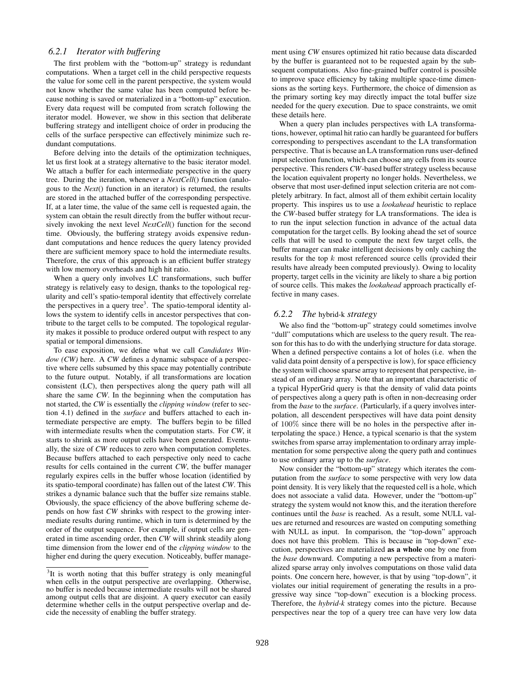## *6.2.1 Iterator with buffering*

The first problem with the "bottom-up" strategy is redundant computations. When a target cell in the child perspective requests the value for some cell in the parent perspective, the system would not know whether the same value has been computed before because nothing is saved or materialized in a "bottom-up" execution. Every data request will be computed from scratch following the iterator model. However, we show in this section that deliberate buffering strategy and intelligent choice of order in producing the cells of the surface perspective can effectively minimize such redundant computations.

Before delving into the details of the optimization techniques, let us first look at a strategy alternative to the basic iterator model. We attach a buffer for each intermediate perspective in the query tree. During the iteration, whenever a *NextCell*() function (analogous to the *Next*() function in an iterator) is returned, the results are stored in the attached buffer of the corresponding perspective. If, at a later time, the value of the same cell is requested again, the system can obtain the result directly from the buffer without recursively invoking the next level *NextCell*() function for the second time. Obviously, the buffering strategy avoids expensive redundant computations and hence reduces the query latency provided there are sufficient memory space to hold the intermediate results. Therefore, the crux of this approach is an efficient buffer strategy with low memory overheads and high hit ratio.

When a query only involves LC transformations, such buffer strategy is relatively easy to design, thanks to the topological regularity and cell's spatio-temporal identity that effectively correlate the perspectives in a query tree<sup>3</sup>. The spatio-temporal identity allows the system to identify cells in ancestor perspectives that contribute to the target cells to be computed. The topological regularity makes it possible to produce ordered output with respect to any spatial or temporal dimensions.

To ease exposition, we define what we call *Candidates Window (CW)* here. A *CW* defines a dynamic subspace of a perspective where cells subsumed by this space may potentially contribute to the future output. Notably, if all transformations are location consistent (LC), then perspectives along the query path will all share the same *CW*. In the beginning when the computation has not started, the *CW* is essentially the *clipping window* (refer to section 4.1) defined in the *surface* and buffers attached to each intermediate perspective are empty. The buffers begin to be filled with intermediate results when the computation starts. For *CW*, it starts to shrink as more output cells have been generated. Eventually, the size of *CW* reduces to zero when computation completes. Because buffers attached to each perspective only need to cache results for cells contained in the current *CW*, the buffer manager regularly expires cells in the buffer whose location (identified by its spatio-temporal coordinate) has fallen out of the latest *CW*. This strikes a dynamic balance such that the buffer size remains stable. Obviously, the space efficiency of the above buffering scheme depends on how fast *CW* shrinks with respect to the growing intermediate results during runtime, which in turn is determined by the order of the output sequence. For example, if output cells are generated in time ascending order, then *CW* will shrink steadily along time dimension from the lower end of the *clipping window* to the higher end during the query execution. Noticeably, buffer management using *CW* ensures optimized hit ratio because data discarded by the buffer is guaranteed not to be requested again by the subsequent computations. Also fine-grained buffer control is possible to improve space efficiency by taking multiple space-time dimensions as the sorting keys. Furthermore, the choice of dimension as the primary sorting key may directly impact the total buffer size needed for the query execution. Due to space constraints, we omit these details here.

When a query plan includes perspectives with LA transformations, however, optimal hit ratio can hardly be guaranteed for buffers corresponding to perspectives ascendant to the LA transformation perspective. That is because an LA transformation runs user-defined input selection function, which can choose any cells from its source perspective. This renders *CW*-based buffer strategy useless because the location equivalent property no longer holds. Nevertheless, we observe that most user-defined input selection criteria are not completely arbitrary. In fact, almost all of them exhibit certain locality property. This inspires us to use a *lookahead* heuristic to replace the *CW*-based buffer strategy for LA transformations. The idea is to run the input selection function in advance of the actual data computation for the target cells. By looking ahead the set of source cells that will be used to compute the next few target cells, the buffer manager can make intelligent decisions by only caching the results for the top k most referenced source cells (provided their results have already been computed previously). Owing to locality property, target cells in the vicinity are likely to share a big portion of source cells. This makes the *lookahead* approach practically effective in many cases.

#### *6.2.2 The* hybrid-k *strategy*

We also find the "bottom-up" strategy could sometimes involve "dull" computations which are useless to the query result. The reason for this has to do with the underlying structure for data storage. When a defined perspective contains a lot of holes (i.e. when the valid data point density of a perspective is low), for space efficiency the system will choose sparse array to represent that perspective, instead of an ordinary array. Note that an important characteristic of a typical HyperGrid query is that the density of valid data points of perspectives along a query path is often in non-decreasing order from the *base* to the *surface*. (Particularly, if a query involves interpolation, all descendent perspectives will have data point density of 100% since there will be no holes in the perspective after interpolating the space.) Hence, a typical scenario is that the system switches from sparse array implementation to ordinary array implementation for some perspective along the query path and continues to use ordinary array up to the *surface*.

Now consider the "bottom-up" strategy which iterates the computation from the *surface* to some perspective with very low data point density. It is very likely that the requested cell is a hole, which does not associate a valid data. However, under the "bottom-up" strategy the system would not know this, and the iteration therefore continues until the *base* is reached. As a result, some NULL values are returned and resources are wasted on computing something with NULL as input. In comparison, the "top-down" approach does not have this problem. This is because in "top-down" execution, perspectives are materialized as a whole one by one from the *base* downward. Computing a new perspective from a materialized sparse array only involves computations on those valid data points. One concern here, however, is that by using "top-down", it violates our initial requirement of generating the results in a progressive way since "top-down" execution is a blocking process. Therefore, the *hybrid-k* strategy comes into the picture. Because perspectives near the top of a query tree can have very low data

<sup>&</sup>lt;sup>3</sup>It is worth noting that this buffer strategy is only meaningful when cells in the output perspective are overlapping. Otherwise, no buffer is needed because intermediate results will not be shared among output cells that are disjoint. A query executor can easily determine whether cells in the output perspective overlap and decide the necessity of enabling the buffer strategy.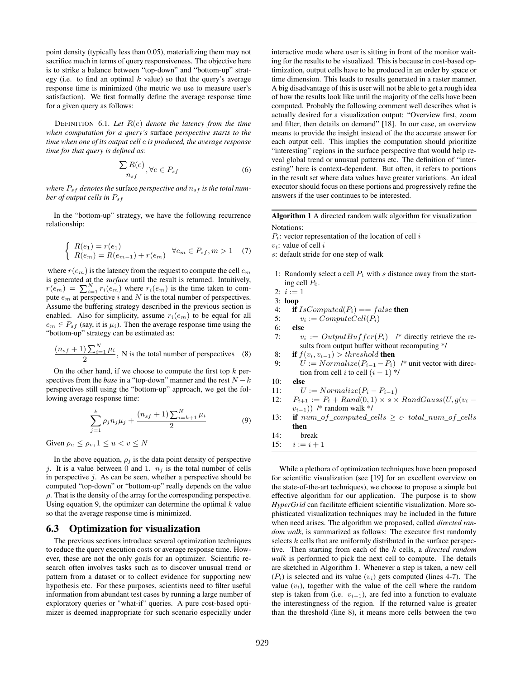point density (typically less than 0.05), materializing them may not sacrifice much in terms of query responsiveness. The objective here is to strike a balance between "top-down" and "bottom-up" strategy (i.e. to find an optimal  $k$  value) so that the query's average response time is minimized (the metric we use to measure user's satisfaction). We first formally define the average response time for a given query as follows:

DEFINITION 6.1. *Let* R(e) *denote the latency from the time when computation for a query's* surface *perspective starts to the time when one of its output cell* e *is produced, the average response time for that query is defined as:*

$$
\frac{\sum R(e)}{n_{sf}}, \forall e \in P_{sf} \tag{6}
$$

where  $P_{sf}$  denotes the surface perspective and  $n_{sf}$  is the total num*ber of output cells in*  $P_{sf}$ 

In the "bottom-up" strategy, we have the following recurrence relationship:

$$
\begin{cases} R(e_1) = r(e_1) \\ R(e_m) = R(e_{m-1}) + r(e_m) \end{cases} \forall e_m \in P_{sf}, m > 1 \quad (7)
$$

where  $r(e_m)$  is the latency from the request to compute the cell  $e_m$ is generated at the *surface* until the result is returned. Intuitively,  $r(e_m) = \sum_{i=1}^{N} r_i(e_m)$  where  $r_i(e_m)$  is the time taken to compute  $e_m$  at perspective i and N is the total number of perspectives. Assume the buffering strategy described in the previous section is enabled. Also for simplicity, assume  $r_i(e_m)$  to be equal for all  $e_m \in P_{sf}$  (say, it is  $\mu_i$ ). Then the average response time using the "bottom-up" strategy can be estimated as:

$$
\frac{(n_{sf} + 1)\sum_{i=1}^{N} \mu_i}{2}
$$
, N is the total number of perspectives (8)

On the other hand, if we choose to compute the first top  $k$  perspectives from the *base* in a "top-down" manner and the rest  $N - k$ perspectives still using the "bottom-up" approach, we get the following average response time:

$$
\sum_{j=1}^{k} \rho_j n_j \mu_j + \frac{(n_{sf} + 1) \sum_{i=k+1}^{N} \mu_i}{2} \tag{9}
$$

Given  $\rho_u \le \rho_v, 1 \le u < v \le N$ 

In the above equation,  $\rho_i$  is the data point density of perspective *j*. It is a value between 0 and 1.  $n<sub>j</sub>$  is the total number of cells in perspective  $j$ . As can be seen, whether a perspective should be computed "top-down" or "bottom-up" really depends on the value  $\rho$ . That is the density of the array for the corresponding perspective. Using equation 9, the optimizer can determine the optimal  $k$  value so that the average response time is minimized.

## 6.3 Optimization for visualization

The previous sections introduce several optimization techniques to reduce the query execution costs or average response time. However, these are not the only goals for an optimizer. Scientific research often involves tasks such as to discover unusual trend or pattern from a dataset or to collect evidence for supporting new hypothesis etc. For these purposes, scientists need to filter useful information from abundant test cases by running a large number of exploratory queries or "what-if" queries. A pure cost-based optimizer is deemed inappropriate for such scenario especially under

interactive mode where user is sitting in front of the monitor waiting for the results to be visualized. This is because in cost-based optimization, output cells have to be produced in an order by space or time dimension. This leads to results generated in a raster manner. A big disadvantage of this is user will not be able to get a rough idea of how the results look like until the majority of the cells have been computed. Probably the following comment well describes what is actually desired for a visualization output: "Overview first, zoom and filter, then details on demand" [18]. In our case, an overview means to provide the insight instead of the the accurate answer for each output cell. This implies the computation should prioritize "interesting" regions in the surface perspective that would help reveal global trend or unusual patterns etc. The definition of "interesting" here is context-dependent. But often, it refers to portions in the result set where data values have greater variations. An ideal executor should focus on these portions and progressively refine the answers if the user continues to be interested.

Algorithm 1 A directed random walk algorithm for visualization Notations:

 $P_i$ : vector representation of the location of cell i

 $v_i$ : value of cell  $i$ 

s: default stride for one step of walk

- 1: Randomly select a cell  $P_1$  with s distance away from the starting cell  $P_0$ .
- 2:  $i := 1$

```
3: loop
```
- 4: if  $IsComputed(P_i) == false$  then
- 5:  $v_i := ComputeCell(P_i)$

6: else

- 7:  $v_i := OutputBuffer(P_i)$  /\* directly retrieve the results from output buffer without recomputing \*/
- 8: if  $f(v_i, v_{i-1}) > threshold$  then

9:  $U := Normalize(P_{i-1} - P_i)$  /\* unit vector with direction from cell *i* to cell  $(i - 1)$  \*/

$$
10: \qquad \textbf{else}
$$

- 11:  $U := Normalize(P_i P_{i-1})$
- 12:  $P_{i+1} := P_i + Rand(0, 1) \times s \times RandGauss(U, g(v_i$  $v_{i-1}$ )) /\* random walk \*/
- 13: **if**  $num\_of\_computed\_cells \geq c \cdot total\_num\_of\_cells$ then
- 14: break
- 15:  $i := i + 1$

While a plethora of optimization techniques have been proposed for scientific visualization (see [19] for an excellent overview on the state-of-the-art techniques), we choose to propose a simple but effective algorithm for our application. The purpose is to show *HyperGrid* can facilitate efficient scientific visualization. More sophisticated visualization techniques may be included in the future when need arises. The algorithm we proposed, called *directed random walk*, is summarized as follows: The executor first randomly selects  $k$  cells that are uniformly distributed in the surface perspective. Then starting from each of the k cells, a *directed random walk* is performed to pick the next cell to compute. The details are sketched in Algorithm 1. Whenever a step is taken, a new cell  $(P_i)$  is selected and its value  $(v_i)$  gets computed (lines 4-7). The value  $(v_i)$ , together with the value of the cell where the random step is taken from (i.e.  $v_{i-1}$ ), are fed into a function to evaluate the interestingness of the region. If the returned value is greater than the threshold (line 8), it means more cells between the two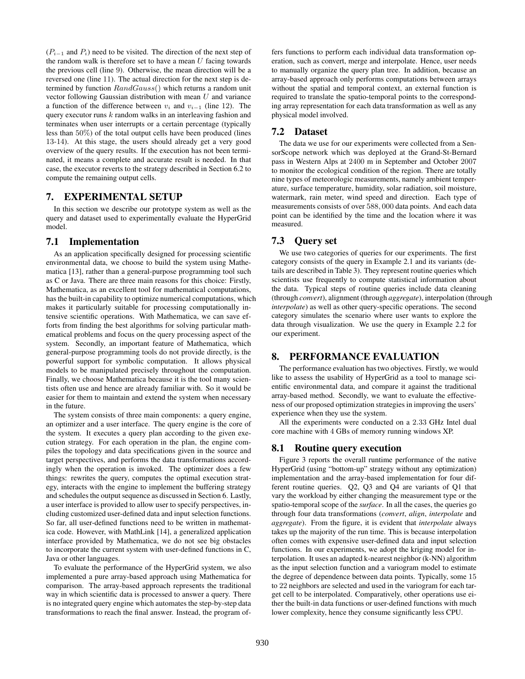$(P_{i-1}$  and  $P_i$ ) need to be visited. The direction of the next step of the random walk is therefore set to have a mean  $U$  facing towards the previous cell (line 9). Otherwise, the mean direction will be a reversed one (line 11). The actual direction for the next step is determined by function RandGauss() which returns a random unit vector following Gaussian distribution with mean  $U$  and variance a function of the difference between  $v_i$  and  $v_{i-1}$  (line 12). The query executor runs  $k$  random walks in an interleaving fashion and terminates when user interrupts or a certain percentage (typically less than 50%) of the total output cells have been produced (lines 13-14). At this stage, the users should already get a very good overview of the query results. If the execution has not been terminated, it means a complete and accurate result is needed. In that case, the executor reverts to the strategy described in Section 6.2 to compute the remaining output cells.

# 7. EXPERIMENTAL SETUP

In this section we describe our prototype system as well as the query and dataset used to experimentally evaluate the HyperGrid model.

## 7.1 Implementation

As an application specifically designed for processing scientific environmental data, we choose to build the system using Mathematica [13], rather than a general-purpose programming tool such as C or Java. There are three main reasons for this choice: Firstly, Mathematica, as an excellent tool for mathematical computations, has the built-in capability to optimize numerical computations, which makes it particularly suitable for processing computationally intensive scientific operations. With Mathematica, we can save efforts from finding the best algorithms for solving particular mathematical problems and focus on the query processing aspect of the system. Secondly, an important feature of Mathematica, which general-purpose programming tools do not provide directly, is the powerful support for symbolic computation. It allows physical models to be manipulated precisely throughout the computation. Finally, we choose Mathematica because it is the tool many scientists often use and hence are already familiar with. So it would be easier for them to maintain and extend the system when necessary in the future.

The system consists of three main components: a query engine, an optimizer and a user interface. The query engine is the core of the system. It executes a query plan according to the given execution strategy. For each operation in the plan, the engine compiles the topology and data specifications given in the source and target perspectives, and performs the data transformations accordingly when the operation is invoked. The optimizer does a few things: rewrites the query, computes the optimal execution strategy, interacts with the engine to implement the buffering strategy and schedules the output sequence as discussed in Section 6. Lastly, a user interface is provided to allow user to specify perspectives, including customized user-defined data and input selection functions. So far, all user-defined functions need to be written in mathematica code. However, with MathLink [14], a generalized application interface provided by Mathematica, we do not see big obstacles to incorporate the current system with user-defined functions in C, Java or other languages.

To evaluate the performance of the HyperGrid system, we also implemented a pure array-based approach using Mathematica for comparison. The array-based approach represents the traditional way in which scientific data is processed to answer a query. There is no integrated query engine which automates the step-by-step data transformations to reach the final answer. Instead, the program offers functions to perform each individual data transformation operation, such as convert, merge and interpolate. Hence, user needs to manually organize the query plan tree. In addition, because an array-based approach only performs computations between arrays without the spatial and temporal context, an external function is required to translate the spatio-temporal points to the corresponding array representation for each data transformation as well as any physical model involved.

# 7.2 Dataset

The data we use for our experiments were collected from a SensorScope network which was deployed at the Grand-St-Bernard pass in Western Alps at 2400 m in September and October 2007 to monitor the ecological condition of the region. There are totally nine types of meteorologic measurements, namely ambient temperature, surface temperature, humidity, solar radiation, soil moisture, watermark, rain meter, wind speed and direction. Each type of measurements consists of over 588, 000 data points. And each data point can be identified by the time and the location where it was measured.

# 7.3 Query set

We use two categories of queries for our experiments. The first category consists of the query in Example 2.1 and its variants (details are described in Table 3). They represent routine queries which scientists use frequently to compute statistical information about the data. Typical steps of routine queries include data cleaning (through *convert*), alignment (through *aggregate*), interpolation (through *interpolate*) as well as other query-specific operations. The second category simulates the scenario where user wants to explore the data through visualization. We use the query in Example 2.2 for our experiment.

# 8. PERFORMANCE EVALUATION

The performance evaluation has two objectives. Firstly, we would like to assess the usability of HyperGrid as a tool to manage scientific environmental data, and compare it against the traditional array-based method. Secondly, we want to evaluate the effectiveness of our proposed optimization strategies in improving the users' experience when they use the system.

All the experiments were conducted on a 2.33 GHz Intel dual core machine with 4 GBs of memory running windows XP.

# 8.1 Routine query execution

Figure 3 reports the overall runtime performance of the native HyperGrid (using "bottom-up" strategy without any optimization) implementation and the array-based implementation for four different routine queries. Q2, Q3 and Q4 are variants of Q1 that vary the workload by either changing the measurement type or the spatio-temporal scope of the *surface*. In all the cases, the queries go through four data transformations (*convert*, *align*, *interpolate* and *aggregate*). From the figure, it is evident that *interpolate* always takes up the majority of the run time. This is because interpolation often comes with expensive user-defined data and input selection functions. In our experiments, we adopt the kriging model for interpolation. It uses an adapted k-nearest neighbor (k-NN) algorithm as the input selection function and a variogram model to estimate the degree of dependence between data points. Typically, some 15 to 22 neighbors are selected and used in the variogram for each target cell to be interpolated. Comparatively, other operations use either the built-in data functions or user-defined functions with much lower complexity, hence they consume significantly less CPU.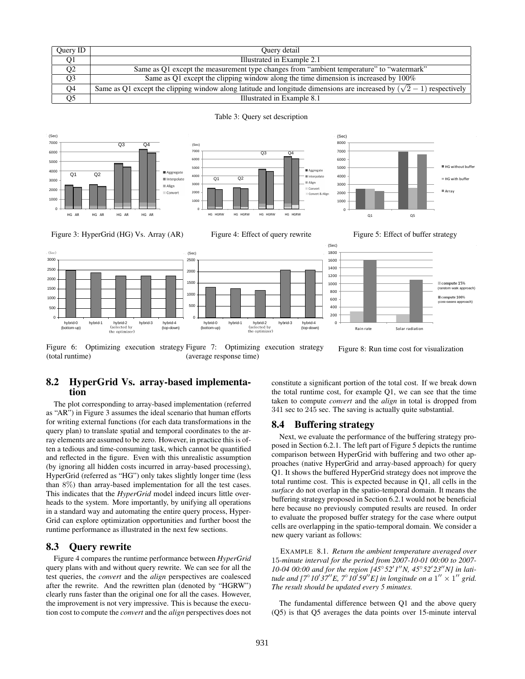| Query ID       | Ouery detail                                                                                                               |
|----------------|----------------------------------------------------------------------------------------------------------------------------|
| O <sub>1</sub> | Illustrated in Example 2.1                                                                                                 |
| O <sub>2</sub> | Same as Q1 except the measurement type changes from "ambient temperature" to "watermark"                                   |
| Q <sub>3</sub> | Same as Q1 except the clipping window along the time dimension is increased by 100%                                        |
| O4             | Same as Q1 except the clipping window along latitude and longitude dimensions are increased by $(\sqrt{2}-1)$ respectively |
|                | Illustrated in Example 8.1                                                                                                 |



(Sec)

Table 3: Query set description





(Sec)

Figure 3: HyperGrid (HG) Vs. Array (AR)

Figure 4: Effect of query rewrite





Figure 6: Optimizing execution strategy Figure 7: Optimizing execution strategy (total runtime) (average response time) Figure 8: Run time cost for visualization

## 8.2 HyperGrid Vs. array-based implementation

The plot corresponding to array-based implementation (referred as "AR") in Figure 3 assumes the ideal scenario that human efforts for writing external functions (for each data transformations in the query plan) to translate spatial and temporal coordinates to the array elements are assumed to be zero. However, in practice this is often a tedious and time-consuming task, which cannot be quantified and reflected in the figure. Even with this unrealistic assumption (by ignoring all hidden costs incurred in array-based processing), HyperGrid (referred as "HG") only takes slightly longer time (less than 8%) than array-based implementation for all the test cases. This indicates that the *HyperGrid* model indeed incurs little overheads to the system. More importantly, by unifying all operations in a standard way and automating the entire query process, Hyper-Grid can explore optimization opportunities and further boost the runtime performance as illustrated in the next few sections.

## 8.3 Query rewrite

Figure 4 compares the runtime performance between *HyperGrid* query plans with and without query rewrite. We can see for all the test queries, the *convert* and the *align* perspectives are coalesced after the rewrite. And the rewritten plan (denoted by "HGRW") clearly runs faster than the original one for all the cases. However, the improvement is not very impressive. This is because the execution cost to compute the *convert* and the *align* perspectives does not

constitute a significant portion of the total cost. If we break down the total runtime cost, for example Q1, we can see that the time taken to compute *convert* and the *align* in total is dropped from 341 sec to 245 sec. The saving is actually quite substantial.

## 8.4 Buffering strategy

Next, we evaluate the performance of the buffering strategy proposed in Section 6.2.1. The left part of Figure 5 depicts the runtime comparison between HyperGrid with buffering and two other approaches (native HyperGrid and array-based approach) for query Q1. It shows the buffered HyperGrid strategy does not improve the total runtime cost. This is expected because in Q1, all cells in the *surface* do not overlap in the spatio-temporal domain. It means the buffering strategy proposed in Section 6.2.1 would not be beneficial here because no previously computed results are reused. In order to evaluate the proposed buffer strategy for the case where output cells are overlapping in the spatio-temporal domain. We consider a new query variant as follows:

EXAMPLE 8.1. *Return the ambient temperature averaged over* 15*-minute interval for the period from 2007-10-01 00:00 to 2007- 10-04 00:00 and for the region*  $[45°52'1''N, 45°52'23''N]$  *in latitude and [7* $\degree$  *10'* 37" E, 7 $\degree$  *10'* 59" E] in longitude on a 1"  $\times$  1" grid. *The result should be updated every 5 minutes.*

The fundamental difference between Q1 and the above query (Q5) is that Q5 averages the data points over 15-minute interval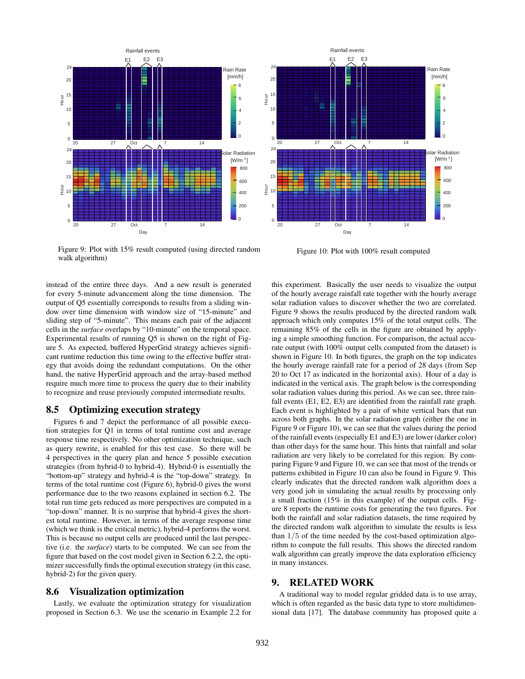



Figure 9: Plot with 15% result computed (using directed random walk algorithm)

instead of the entire three days. And a new result is generated for every 5-minute advancement along the time dimension. The output of Q5 essentially corresponds to results from a sliding window over time dimension with window size of "15-minute" and sliding step of "5-minute". This means each pair of the adjacent cells in the *surface* overlaps by "10-minute" on the temporal space. Experimental results of running Q5 is shown on the right of Figure 5. As expected, buffered HyperGrid strategy achieves significant runtime reduction this time owing to the effective buffer strategy that avoids doing the redundant computations. On the other hand, the native HyperGrid approach and the array-based method require much more time to process the query due to their inability to recognize and reuse previously computed intermediate results.

## 8.5 Optimizing execution strategy

Figures 6 and 7 depict the performance of all possible execution strategies for Q1 in terms of total runtime cost and average response time respectively. No other optimization technique, such as query rewrite, is enabled for this test case. So there will be 4 perspectives in the query plan and hence 5 possible execution strategies (from hybrid-0 to hybrid-4). Hybrid-0 is essentially the "bottom-up" strategy and hybrid-4 is the "top-down" strategy. In terms of the total runtime cost (Figure 6), hybrid-0 gives the worst performance due to the two reasons explained in section 6.2. The total run time gets reduced as more perspectives are computed in a "top-down" manner. It is no surprise that hybrid-4 gives the shortest total runtime. However, in terms of the average response time (which we think is the critical metric), hybrid-4 performs the worst. This is because no output cells are produced until the last perspective (i.e. the *surface*) starts to be computed. We can see from the figure that based on the cost model given in Section 6.2.2, the optimizer successfully finds the optimal execution strategy (in this case, hybrid-2) for the given query.

## 8.6 Visualization optimization

Lastly, we evaluate the optimization strategy for visualization proposed in Section 6.3. We use the scenario in Example 2.2 for

Figure 10: Plot with 100% result computed

this experiment. Basically the user needs to visualize the output of the hourly average rainfall rate together with the hourly average solar radiation values to discover whether the two are correlated. Figure 9 shows the results produced by the directed random walk approach which only computes 15% of the total output cells. The remaining 85% of the cells in the figure are obtained by applying a simple smoothing function. For comparison, the actual accurate output (with 100% output cells computed from the dataset) is shown in Figure 10. In both figures, the graph on the top indicates the hourly average rainfall rate for a period of 28 days (from Sep 20 to Oct 17 as indicated in the horizontal axis). Hour of a day is indicated in the vertical axis. The graph below is the corresponding solar radiation values during this period. As we can see, three rainfall events (E1, E2, E3) are identified from the rainfall rate graph. Each event is highlighted by a pair of white vertical bars that run across both graphs. In the solar radiation graph (either the one in Figure 9 or Figure 10), we can see that the values during the period of the rainfall events (especially E1 and E3) are lower (darker color) than other days for the same hour. This hints that rainfall and solar radiation are very likely to be correlated for this region. By comparing Figure 9 and Figure 10, we can see that most of the trends or patterns exhibited in Figure 10 can also be found in Figure 9. This clearly indicates that the directed random walk algorithm does a very good job in simulating the actual results by processing only a small fraction (15% in this example) of the output cells. Figure 8 reports the runtime costs for generating the two figures. For both the rainfall and solar radiation datasets, the time required by the directed random walk algorithm to simulate the results is less than 1/5 of the time needed by the cost-based optimization algorithm to compute the full results. This shows the directed random walk algorithm can greatly improve the data exploration efficiency in many instances.

# 9. RELATED WORK

A traditional way to model regular gridded data is to use array, which is often regarded as the basic data type to store multidimensional data [17]. The database community has proposed quite a